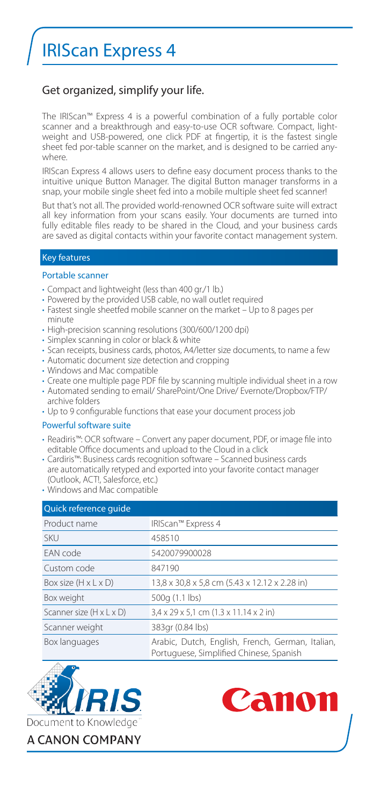# IRIScan Express 4

## Get organized, simplify your life.

The IRIScan™ Express 4 is a powerful combination of a fully portable color scanner and a breakthrough and easy-to-use OCR software. Compact. lightweight and USB-powered, one click PDF at fingertip, it is the fastest single sheet fed por-table scanner on the market, and is designed to be carried anywhere.

IRIScan Express 4 allows users to define easy document process thanks to the intuitive unique Button Manager. The digital Button manager transforms in a snap, your mobile single sheet fed into a mobile multiple sheet fed scanner!

But that's not all. The provided world-renowned OCR software suite will extract all key information from your scans easily. Your documents are turned into fully editable files ready to be shared in the Cloud, and your business cards are saved as digital contacts within your favorite contact management system.

## Key features

#### Portable scanner

- Compact and lightweight (less than 400 gr./1 lb.)
- Powered by the provided USB cable, no wall outlet required
- Fastest single sheetfed mobile scanner on the market Up to 8 pages per minute
- High-precision scanning resolutions (300/600/1200 dpi)
- Simplex scanning in color or black & white
- Scan receipts, business cards, photos, A4/letter size documents, to name a few
- Automatic document size detection and cropping
- Windows and Mac compatible
- Create one multiple page PDF file by scanning multiple individual sheet in a row
- Automated sending to email/ SharePoint/One Drive/ Evernote/Dropbox/FTP/ archive folders
- Up to 9 configurable functions that ease your document process job

### Powerful software suite

- Readiris™: OCR software Convert any paper document, PDF, or image file into editable Office documents and upload to the Cloud in a click
- Cardiris™: Business cards recognition software Scanned business cards are automatically retyped and exported into your favorite contact manager (Outlook, ACT!, Salesforce, etc.)
- Windows and Mac compatible

| Quick reference quide                |                                                                                             |
|--------------------------------------|---------------------------------------------------------------------------------------------|
| Product name                         | IRIScan™ Express 4                                                                          |
| <b>SKU</b>                           | 458510                                                                                      |
| FAN code                             | 5420079900028                                                                               |
| Custom code                          | 847190                                                                                      |
| Box size $(H \times L \times D)$     | 13,8 x 30,8 x 5,8 cm (5.43 x 12.12 x 2.28 in)                                               |
| Box weight                           | 500g (1.1 lbs)                                                                              |
| Scanner size $(H \times L \times D)$ | 3,4 x 29 x 5,1 cm (1.3 x 11.14 x 2 in)                                                      |
| Scanner weight                       | 383gr (0.84 lbs)                                                                            |
| Box languages                        | Arabic, Dutch, English, French, German, Italian,<br>Portuguese, Simplified Chinese, Spanish |